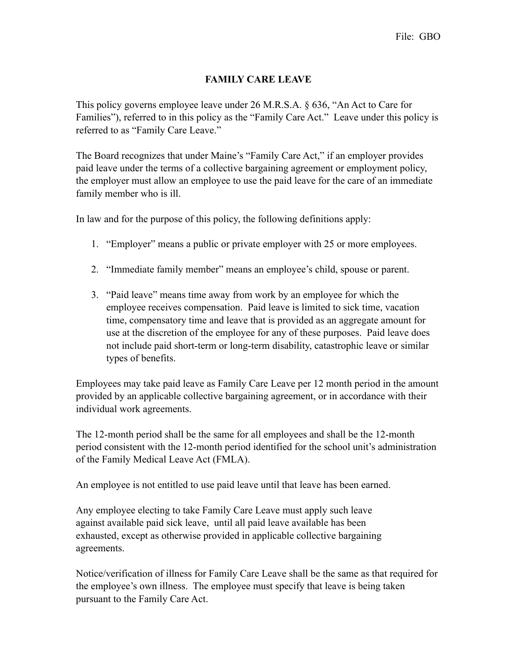## **FAMILY CARE LEAVE**

This policy governs employee leave under 26 M.R.S.A. § 636, "An Act to Care for Families"), referred to in this policy as the "Family Care Act." Leave under this policy is referred to as "Family Care Leave."

The Board recognizes that under Maine's "Family Care Act," if an employer provides paid leave under the terms of a collective bargaining agreement or employment policy, the employer must allow an employee to use the paid leave for the care of an immediate family member who is ill.

In law and for the purpose of this policy, the following definitions apply:

- 1. "Employer" means a public or private employer with 25 or more employees.
- 2. "Immediate family member" means an employee's child, spouse or parent.
- 3. "Paid leave" means time away from work by an employee for which the employee receives compensation. Paid leave is limited to sick time, vacation time, compensatory time and leave that is provided as an aggregate amount for use at the discretion of the employee for any of these purposes. Paid leave does not include paid short-term or long-term disability, catastrophic leave or similar types of benefits.

Employees may take paid leave as Family Care Leave per 12 month period in the amount provided by an applicable collective bargaining agreement, or in accordance with their individual work agreements.

The 12-month period shall be the same for all employees and shall be the 12-month period consistent with the 12-month period identified for the school unit's administration of the Family Medical Leave Act (FMLA).

An employee is not entitled to use paid leave until that leave has been earned.

Any employee electing to take Family Care Leave must apply such leave against available paid sick leave, until all paid leave available has been exhausted, except as otherwise provided in applicable collective bargaining agreements.

Notice/verification of illness for Family Care Leave shall be the same as that required for the employee's own illness. The employee must specify that leave is being taken pursuant to the Family Care Act.